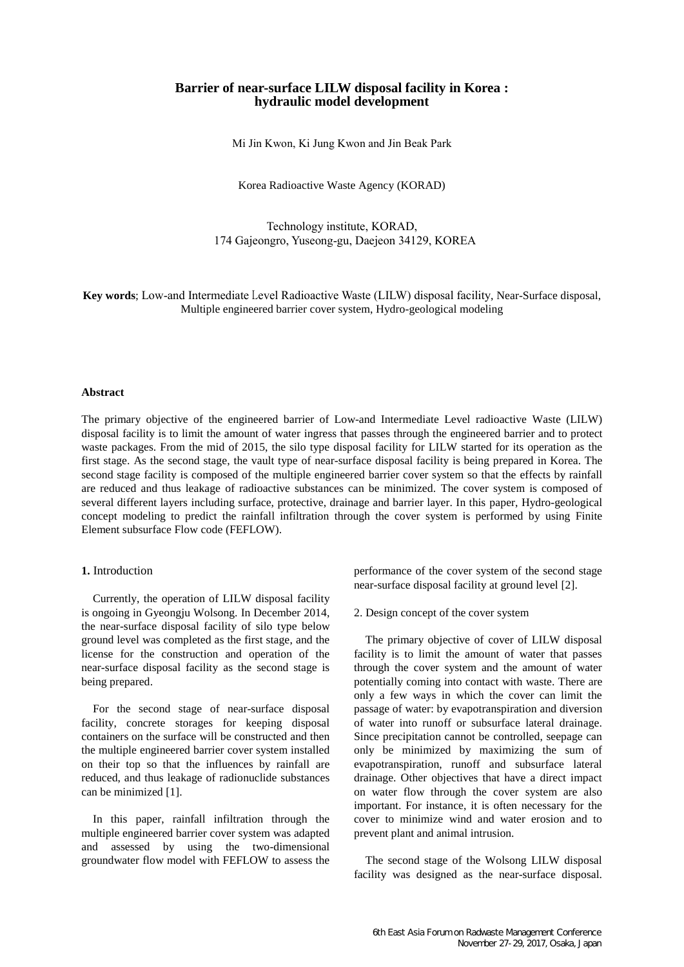# **Barrier of near-surface LILW disposal facility in Korea : hydraulic model development**

Mi Jin Kwon, Ki Jung Kwon and Jin Beak Park

Korea Radioactive Waste Agency (KORAD)

Technology institute, KORAD, 174 Gajeongro, Yuseong-gu, Daejeon 34129, KOREA

**Key words**; Low-and Intermediate Level Radioactive Waste (LILW) disposal facility, Near-Surface disposal, Multiple engineered barrier cover system, Hydro-geological modeling

#### **Abstract**

The primary objective of the engineered barrier of Low-and Intermediate Level radioactive Waste (LILW) disposal facility is to limit the amount of water ingress that passes through the engineered barrier and to protect waste packages. From the mid of 2015, the silo type disposal facility for LILW started for its operation as the first stage. As the second stage, the vault type of near-surface disposal facility is being prepared in Korea. The second stage facility is composed of the multiple engineered barrier cover system so that the effects by rainfall are reduced and thus leakage of radioactive substances can be minimized. The cover system is composed of several different layers including surface, protective, drainage and barrier layer. In this paper, Hydro-geological concept modeling to predict the rainfall infiltration through the cover system is performed by using Finite Element subsurface Flow code (FEFLOW).

## **1.** Introduction

Currently, the operation of LILW disposal facility is ongoing in Gyeongju Wolsong. In December 2014, the near-surface disposal facility of silo type below ground level was completed as the first stage, and the license for the construction and operation of the near-surface disposal facility as the second stage is being prepared.

For the second stage of near-surface disposal facility, concrete storages for keeping disposal containers on the surface will be constructed and then the multiple engineered barrier cover system installed on their top so that the influences by rainfall are reduced, and thus leakage of radionuclide substances can be minimized [1].

In this paper, rainfall infiltration through the multiple engineered barrier cover system was adapted and assessed by using the two-dimensional groundwater flow model with FEFLOW to assess the performance of the cover system of the second stage near-surface disposal facility at ground level [2].

2. Design concept of the cover system

The primary objective of cover of LILW disposal facility is to limit the amount of water that passes through the cover system and the amount of water potentially coming into contact with waste. There are only a few ways in which the cover can limit the passage of water: by evapotranspiration and diversion of water into runoff or subsurface lateral drainage. Since precipitation cannot be controlled, seepage can only be minimized by maximizing the sum of evapotranspiration, runoff and subsurface lateral drainage. Other objectives that have a direct impact on water flow through the cover system are also important. For instance, it is often necessary for the cover to minimize wind and water erosion and to prevent plant and animal intrusion.

The second stage of the Wolsong LILW disposal facility was designed as the near-surface disposal.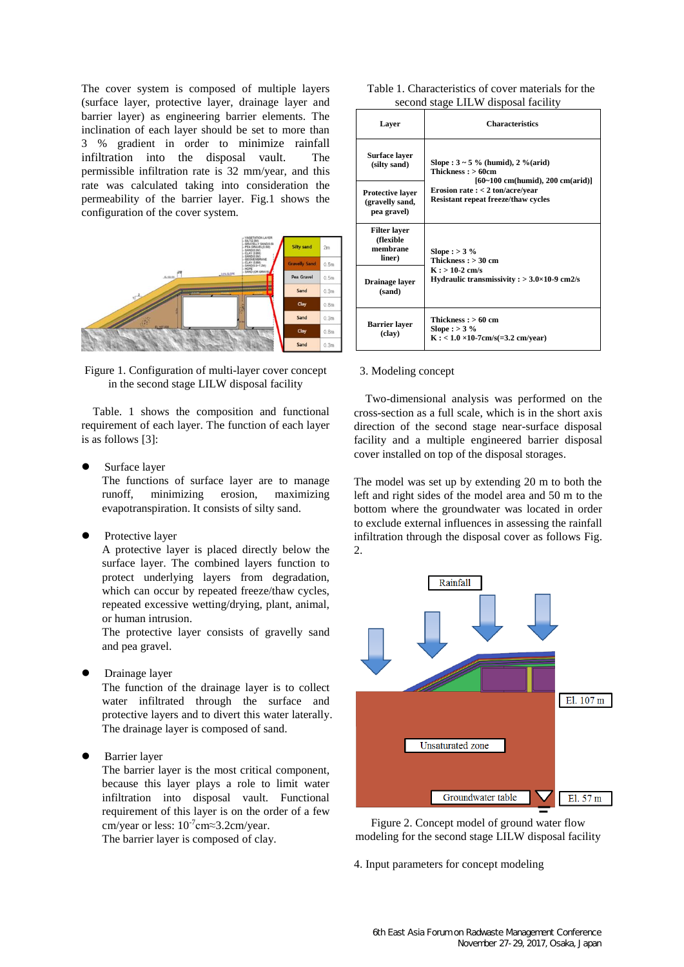The cover system is composed of multiple layers (surface layer, protective layer, drainage layer and barrier layer) as engineering barrier elements. The inclination of each layer should be set to more than 3 % gradient in order to minimize rainfall infiltration into the disposal vault. The permissible infiltration rate is 32 mm/year, and this rate was calculated taking into consideration the permeability of the barrier layer. Fig.1 shows the configuration of the cover system.



Figure 1. Configuration of multi-layer cover concept in the second stage LILW disposal facility

Table. 1 shows the composition and functional requirement of each layer. The function of each layer is as follows [3]:

Surface layer

The functions of surface layer are to manage runoff, minimizing erosion, maximizing evapotranspiration. It consists of silty sand.

Protective layer

A protective layer is placed directly below the surface layer. The combined layers function to protect underlying layers from degradation, which can occur by repeated freeze/thaw cycles, repeated excessive wetting/drying, plant, animal, or human intrusion.

The protective layer consists of gravelly sand and pea gravel.

Drainage layer

The function of the drainage layer is to collect water infiltrated through the surface and protective layers and to divert this water laterally. The drainage layer is composed of sand.

Barrier layer

The barrier layer is the most critical component, because this layer plays a role to limit water infiltration into disposal vault. Functional requirement of this layer is on the order of a few cm/year or less:  $10^{-7}$ cm≈3.2cm/year. The barrier layer is composed of clay.

| Table 1. Characteristics of cover materials for the |  |
|-----------------------------------------------------|--|
| second stage LILW disposal facility                 |  |

| Layer                                                     | <b>Characteristics</b>                                                                                                 |  |
|-----------------------------------------------------------|------------------------------------------------------------------------------------------------------------------------|--|
| Surface laver<br>(silty sand)                             | Slope : $3 \sim 5 \%$ (humid), $2 \%$ (arid)<br>Thickness: $>60cm$                                                     |  |
| <b>Protective laver</b><br>(gravelly sand,<br>pea gravel) | $[60-100$ cm(humid), 200 cm(arid)]<br>Erosion rate $:$ < 2 ton/acre/year<br><b>Resistant repeat freeze/thaw cycles</b> |  |
| <b>Filter laver</b><br>(flexible<br>membrane<br>liner)    | Slope : $>$ 3 %<br>Thickness: $>$ 30 cm<br>$K : > 10-2$ cm/s<br>Hydraulic transmissivity : $>$ 3.0 $\times$ 10-9 cm2/s |  |
| Drainage layer<br>(sand)                                  |                                                                                                                        |  |
| <b>Barrier</b> layer<br>(clay)                            | Thickness: $>60$ cm<br>Slope : $>$ 3 %<br>$K: < 1.0 \times 10-7$ cm/s(=3.2 cm/year)                                    |  |

## 3. Modeling concept

Two-dimensional analysis was performed on the cross-section as a full scale, which is in the short axis direction of the second stage near-surface disposal facility and a multiple engineered barrier disposal cover installed on top of the disposal storages.

The model was set up by extending 20 m to both the left and right sides of the model area and 50 m to the bottom where the groundwater was located in order to exclude external influences in assessing the rainfall infiltration through the disposal cover as follows Fig. 2.



Figure 2. Concept model of ground water flow modeling for the second stage LILW disposal facility

4. Input parameters for concept modeling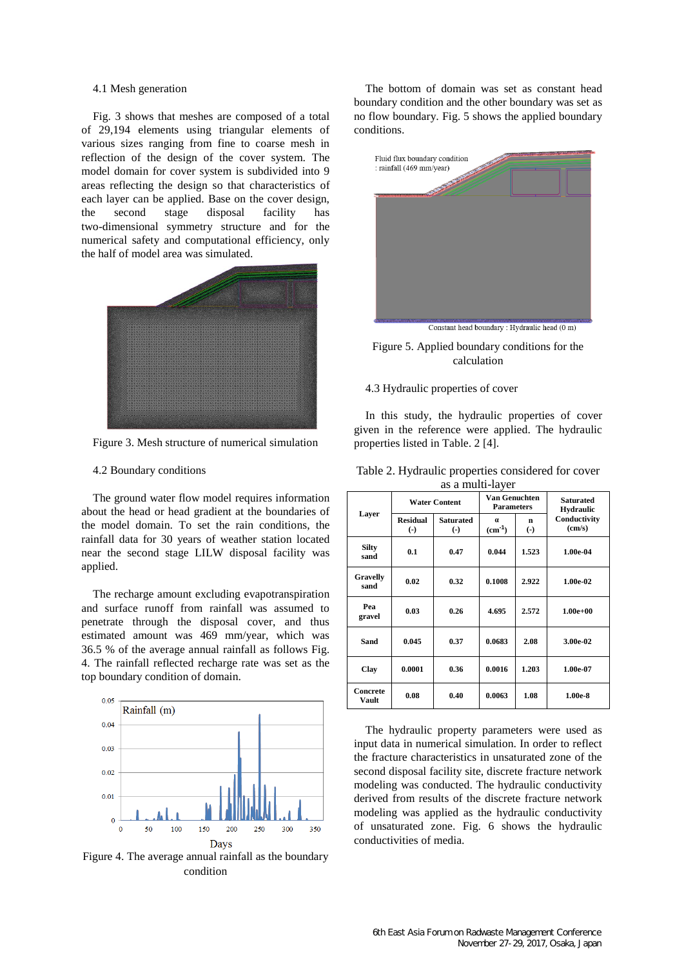### 4.1 Mesh generation

Fig. 3 shows that meshes are composed of a total of 29,194 elements using triangular elements of various sizes ranging from fine to coarse mesh in reflection of the design of the cover system. The model domain for cover system is subdivided into 9 areas reflecting the design so that characteristics of each layer can be applied. Base on the cover design, the second stage disposal facility has two-dimensional symmetry structure and for the numerical safety and computational efficiency, only the half of model area was simulated.



Figure 3. Mesh structure of numerical simulation

#### 4.2 Boundary conditions

The ground water flow model requires information about the head or head gradient at the boundaries of the model domain. To set the rain conditions, the rainfall data for 30 years of weather station located near the second stage LILW disposal facility was applied.

The recharge amount excluding evapotranspiration and surface runoff from rainfall was assumed to penetrate through the disposal cover, and thus estimated amount was 469 mm/year, which was 36.5 % of the average annual rainfall as follows Fig. 4. The rainfall reflected recharge rate was set as the top boundary condition of domain.



Figure 4. The average annual rainfall as the boundary condition

The bottom of domain was set as constant head boundary condition and the other boundary was set as no flow boundary. Fig. 5 shows the applied boundary conditions.



Figure 5. Applied boundary conditions for the calculation

#### 4.3 Hydraulic properties of cover

In this study, the hydraulic properties of cover given in the reference were applied. The hydraulic properties listed in Table. 2 [4].

| Table 2. Hydraulic properties considered for cover |                  |  |
|----------------------------------------------------|------------------|--|
|                                                    | as a multi-laver |  |

| as a mani niyor          |                                           |                           |                                           |                        |                                      |  |  |
|--------------------------|-------------------------------------------|---------------------------|-------------------------------------------|------------------------|--------------------------------------|--|--|
| Layer                    | <b>Water Content</b>                      |                           | <b>Van Genuchten</b><br><b>Parameters</b> |                        | <b>Saturated</b><br><b>Hydraulic</b> |  |  |
|                          | <b>Residual</b><br>$\left( \cdot \right)$ | <b>Saturated</b><br>$(-)$ | $\alpha$<br>$(cm-1)$                      | n<br>$\left( -\right)$ | Conductivity<br>(cm/s)               |  |  |
| <b>Silty</b><br>sand     | 0.1                                       | 0.47                      | 0.044                                     | 1.523                  | 1.00e-04                             |  |  |
| <b>Gravelly</b><br>sand  | 0.02                                      | 0.32                      | 0.1008                                    | 2.922                  | 1.00e-02                             |  |  |
| Pea<br>gravel            | 0.03                                      | 0.26                      | 4.695                                     | 2.572                  | $1.00e + 00$                         |  |  |
| Sand                     | 0.045                                     | 0.37                      | 0.0683                                    | 2.08                   | 3.00e-02                             |  |  |
| Clay                     | 0.0001                                    | 0.36                      | 0.0016                                    | 1.203                  | 1.00e-07                             |  |  |
| <b>Concrete</b><br>Vault | 0.08                                      | 0.40                      | 0.0063                                    | 1.08                   | $1.00e-8$                            |  |  |

The hydraulic property parameters were used as input data in numerical simulation. In order to reflect the fracture characteristics in unsaturated zone of the second disposal facility site, discrete fracture network modeling was conducted. The hydraulic conductivity derived from results of the discrete fracture network modeling was applied as the hydraulic conductivity of unsaturated zone. Fig. 6 shows the hydraulic conductivities of media.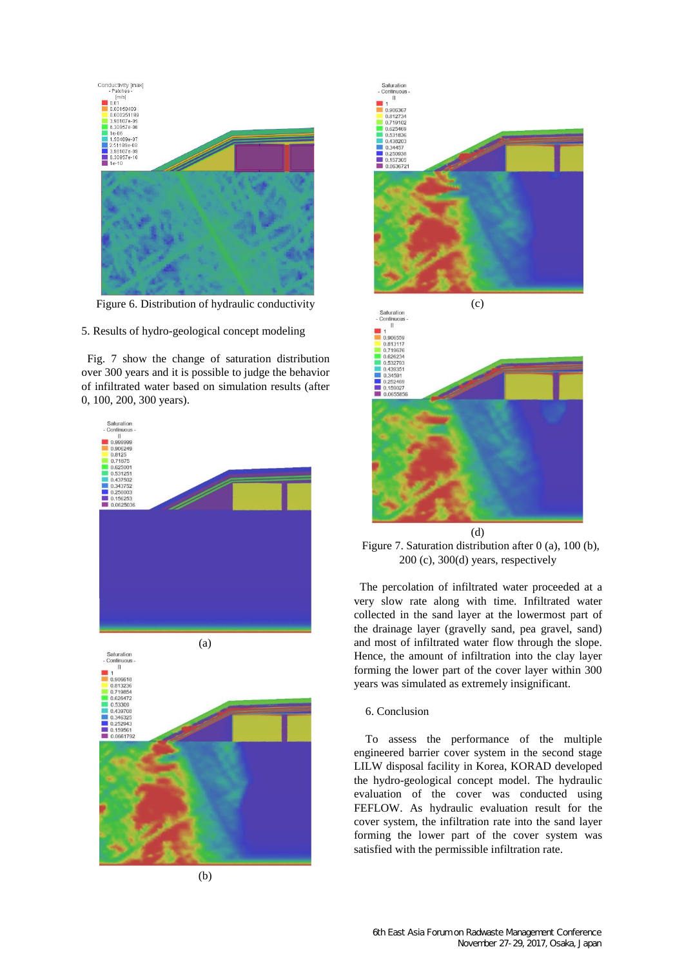

Figure 6. Distribution of hydraulic conductivity

5. Results of hydro-geological concept modeling

Fig. 7 show the change of saturation distribution over 300 years and it is possible to judge the behavior of infiltrated water based on simulation results (after 0, 100, 200, 300 years).





(d) Figure 7. Saturation distribution after 0 (a), 100 (b),

200 (c), 300(d) years, respectively

The percolation of infiltrated water proceeded at a very slow rate along with time. Infiltrated water collected in the sand layer at the lowermost part of the drainage layer (gravelly sand, pea gravel, sand) and most of infiltrated water flow through the slope. Hence, the amount of infiltration into the clay layer forming the lower part of the cover layer within 300

years was simulated as extremely insignificant.

## 6. Conclusion

To assess the performance of the multiple engineered barrier cover system in the second stage LILW disposal facility in Korea, KORAD developed the hydro-geological concept model. The hydraulic evaluation of the cover was conducted using FEFLOW. As hydraulic evaluation result for the cover system, the infiltration rate into the sand layer forming the lower part of the cover system was satisfied with the permissible infiltration rate.